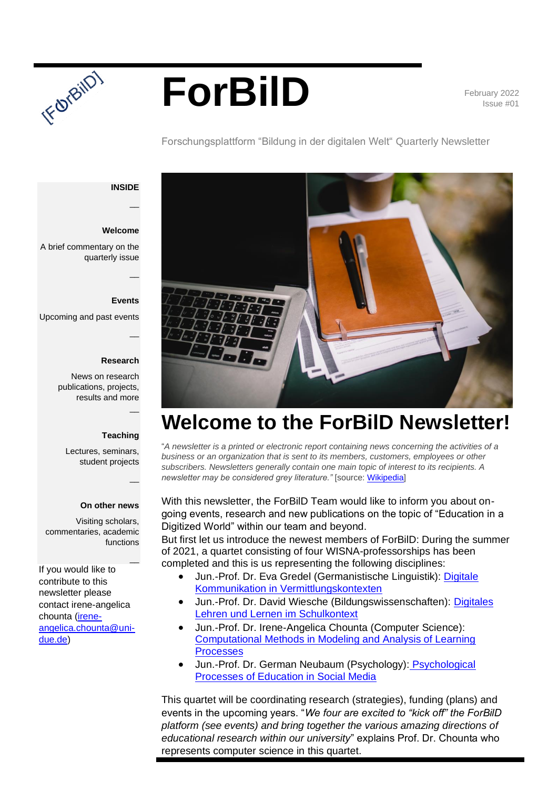

Issue #01



Forschungsplattform "Bildung in der digitalen Welt" Quarterly Newsletter



 $\overline{\phantom{a}}$ 

 $\overline{\phantom{a}}$ 

 $\overline{\phantom{a}}$ 

 $\overline{\phantom{a}}$ 

 $\overline{\phantom{a}}$ 

 $\overline{\phantom{a}}$ 

#### **Welcome**

A brief commentary on the quarterly issue

#### **Events**

Upcoming and past events

#### **Research**

News on research publications, projects, results and more

#### **Teaching**

Lectures, seminars, student projects

#### **On other news**

Visiting scholars, commentaries, academic functions

If you would like to contribute to this newsletter please contact irene-angelica chounta [\(irene](mailto:irene-angelica.chounta@uni-due.de)[angelica.chounta@uni](mailto:irene-angelica.chounta@uni-due.de)[due.de\)](mailto:irene-angelica.chounta@uni-due.de)



# **Welcome to the ForBilD Newsletter!**

"*A newsletter is a printed or electronic report containing news concerning the activities of a business or an organization that is sent to its members, customers, employees or other subscribers. Newsletters generally contain one main topic of interest to its recipients. A newsletter may be considered grey literature."* [source: [Wikipedia\]](https://en.wikipedia.org/wiki/Newsletter)

With this newsletter, the ForBilD Team would like to inform you about ongoing events, research and new publications on the topic of "Education in a Digitized World" within our team and beyond.

But first let us introduce the newest members of ForBilD: During the summer of 2021, a quartet consisting of four WISNA-professorships has been completed and this is us representing the following disciplines:

- Jun.-Prof. Dr. Eva Gredel (Germanistische Linguistik): [Digitale](https://www.uni-due.de/germanistik/gredel/)  [Kommunikation in Vermittlungskontexten](https://www.uni-due.de/germanistik/gredel/)
- Jun.-Prof. Dr. David Wiesche (Bildungswissenschaften): Digitales [Lehren und Lernen im Schulkontext](https://www.uni-due.de/biwi/digitales-lehren-und-lernen/)
- Jun.-Prof. Dr. Irene-Angelica Chounta (Computer Science): [Computational Methods in Modeling and Analysis of Learning](https://www.uni-due.de/colaps/)  **[Processes](https://www.uni-due.de/colaps/)**
- Jun.-Prof. Dr. German Neubaum (Psychology): [Psychological](https://www.uni-due.de/media-psych-edu/index_en.php)  [Processes of Education in Social Media](https://www.uni-due.de/media-psych-edu/index_en.php)

This quartet will be coordinating research (strategies), funding (plans) and events in the upcoming years. "*We four are excited to "kick off" the ForBilD platform (see events) and bring together the various amazing directions of educational research within our university*" explains Prof. Dr. Chounta who represents computer science in this quartet.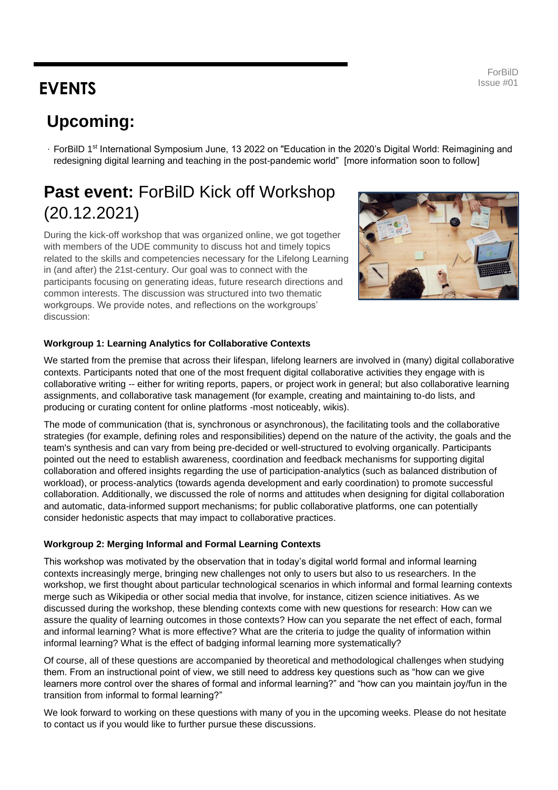## **EVENTS**

## **Upcoming:**

· ForBilD 1st International Symposium June, 13 2022 on "Education in the 2020's Digital World: Reimagining and redesigning digital learning and teaching in the post-pandemic world" [more information soon to follow]

## **Past event:** ForBilD Kick off Workshop (20.12.2021)

During the kick-off workshop that was organized online, we got together with members of the UDE community to discuss hot and timely topics related to the skills and competencies necessary for the Lifelong Learning in (and after) the 21st-century. Our goal was to connect with the participants focusing on generating ideas, future research directions and common interests. The discussion was structured into two thematic workgroups. We provide notes, and reflections on the workgroups' discussion:



#### **Workgroup 1: Learning Analytics for Collaborative Contexts**

We started from the premise that across their lifespan, lifelong learners are involved in (many) digital collaborative contexts. Participants noted that one of the most frequent digital collaborative activities they engage with is collaborative writing -- either for writing reports, papers, or project work in general; but also collaborative learning assignments, and collaborative task management (for example, creating and maintaining to-do lists, and producing or curating content for online platforms -most noticeably, wikis).

The mode of communication (that is, synchronous or asynchronous), the facilitating tools and the collaborative strategies (for example, defining roles and responsibilities) depend on the nature of the activity, the goals and the team's synthesis and can vary from being pre-decided or well-structured to evolving organically. Participants pointed out the need to establish awareness, coordination and feedback mechanisms for supporting digital collaboration and offered insights regarding the use of participation-analytics (such as balanced distribution of workload), or process-analytics (towards agenda development and early coordination) to promote successful collaboration. Additionally, we discussed the role of norms and attitudes when designing for digital collaboration and automatic, data-informed support mechanisms; for public collaborative platforms, one can potentially consider hedonistic aspects that may impact to collaborative practices.

#### **Workgroup 2: Merging Informal and Formal Learning Contexts**

This workshop was motivated by the observation that in today's digital world formal and informal learning contexts increasingly merge, bringing new challenges not only to users but also to us researchers. In the workshop, we first thought about particular technological scenarios in which informal and formal learning contexts merge such as Wikipedia or other social media that involve, for instance, citizen science initiatives. As we discussed during the workshop, these blending contexts come with new questions for research: How can we assure the quality of learning outcomes in those contexts? How can you separate the net effect of each, formal and informal learning? What is more effective? What are the criteria to judge the quality of information within informal learning? What is the effect of badging informal learning more systematically?

Of course, all of these questions are accompanied by theoretical and methodological challenges when studying them. From an instructional point of view, we still need to address key questions such as "how can we give learners more control over the shares of formal and informal learning?" and "how can you maintain joy/fun in the transition from informal to formal learning?"

We look forward to working on these questions with many of you in the upcoming weeks. Please do not hesitate to contact us if you would like to further pursue these discussions.

ForBilD Issue #01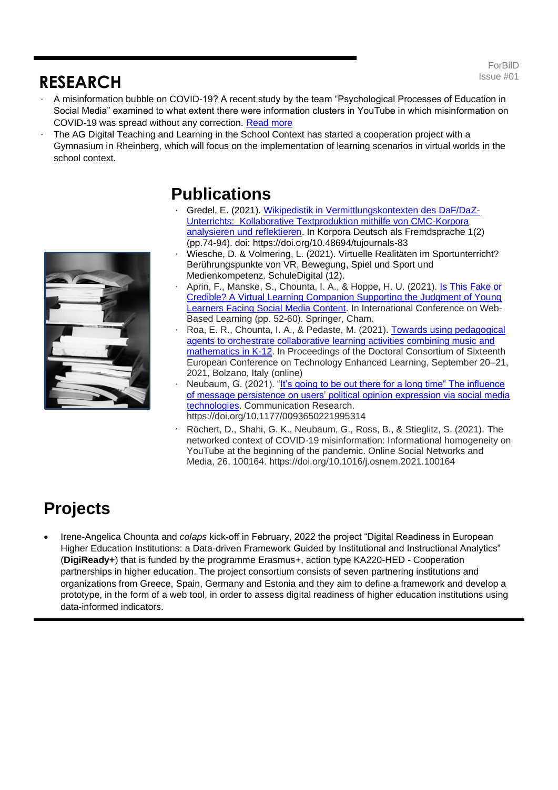### **RESEARCH**

- · A misinformation bubble on COVID-19? A recent study by the team "Psychological Processes of Education in Social Media" examined to what extent there were information clusters in YouTube in which misinformation on COVID-19 was spread without any correction. [Read more](https://www.ncbi.nlm.nih.gov/pmc/articles/PMC8413843/)
- The AG Digital Teaching and Learning in the School Context has started a cooperation project with a Gymnasium in Rheinberg, which will focus on the implementation of learning scenarios in virtual worlds in the school context.



### **Publications**

- · Gredel, E. (2021). [Wikipedistik in Vermittlungskontexten des DaF/DaZ-](https://doi.org/10.48694/tujournals-83)Unterrichts: [Kollaborative Textproduktion mithilfe von CMC-Korpora](https://doi.org/10.48694/tujournals-83)  [analysieren und reflektieren.](https://doi.org/10.48694/tujournals-83) In Korpora Deutsch als Fremdsprache 1(2) (pp.74-94). doi: https://doi.org/10.48694/tujournals-83
- · Wiesche, D. & Volmering, L. (2021). Virtuelle Realitäten im Sportunterricht? Berührungspunkte von VR, Bewegung, Spiel und Sport und Medienkompetenz. SchuleDigital (12).
- · Aprin, F., Manske, S., Chounta, I. A., & Hoppe, H. U. (2021). [Is This Fake or](https://link.springer.com/chapter/10.1007/978-3-030-90785-3_5)  [Credible? A Virtual Learning Companion Supporting the Judgment of Young](https://link.springer.com/chapter/10.1007/978-3-030-90785-3_5)  [Learners Facing Social Media Content.](https://link.springer.com/chapter/10.1007/978-3-030-90785-3_5) In International Conference on Web-Based Learning (pp. 52-60). Springer, Cham.
- Roa, E. R., Chounta, I. A., & Pedaste, M. (2021). Towards using pedagogical [agents to orchestrate collaborative learning activities combining music and](http://ceur-ws.org/Vol-3076/ECTEL2021_DC_paper12.pdf)  [mathematics in K-12.](http://ceur-ws.org/Vol-3076/ECTEL2021_DC_paper12.pdf) In Proceedings of the Doctoral Consortium of Sixteenth European Conference on Technology Enhanced Learning, September 20–21, 2021, Bolzano, Italy (online)
- Neubaum, G. (2021). "It's going to be out there for a long time" The influence [of message persistence on users' political opinion expression via social media](https://journals.sagepub.com/doi/full/10.1177/0093650221995314)  [technologies.](https://journals.sagepub.com/doi/full/10.1177/0093650221995314) Communication Research. https://doi.org/10.1177/0093650221995314
- Röchert, D., Shahi, G. K., Neubaum, G., Ross, B., & Stieglitz, S. (2021). The networked context of COVID-19 misinformation: Informational homogeneity on YouTube at the beginning of the pandemic. Online Social Networks and Media, 26, 100164. https://doi.org/10.1016/j.osnem.2021.100164

# **Projects**

• Irene-Angelica Chounta and *colaps* kick-off in February, 2022 the project "Digital Readiness in European Higher Education Institutions: a Data-driven Framework Guided by Institutional and Instructional Analytics" (**DigiReady+**) that is funded by the programme Erasmus+, action type KA220-HED - Cooperation partnerships in higher education. The project consortium consists of seven partnering institutions and organizations from Greece, Spain, Germany and Estonia and they aim to define a framework and develop a prototype, in the form of a web tool, in order to assess digital readiness of higher education institutions using data-informed indicators.